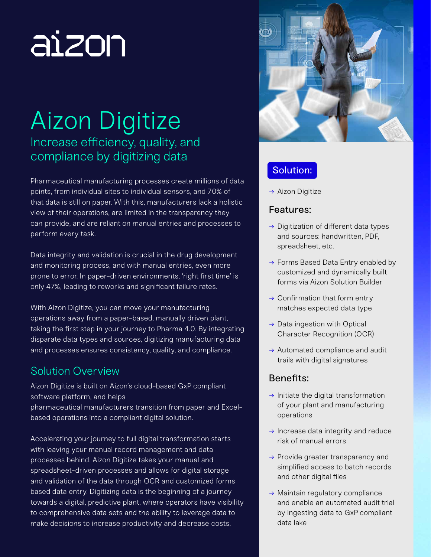# aizon

## Aizon Digitize Increase efficiency, quality, and compliance by digitizing data

Pharmaceutical manufacturing processes create millions of data points, from individual sites to individual sensors, and 70% of that data is still on paper. With this, manufacturers lack a holistic view of their operations, are limited in the transparency they can provide, and are reliant on manual entries and processes to perform every task.

Data integrity and validation is crucial in the drug development and monitoring process, and with manual entries, even more prone to error. In paper-driven environments, 'right first time' is only 47%, leading to reworks and significant failure rates.

With Aizon Digitize, you can move your manufacturing operations away from a paper-based, manually driven plant, taking the first step in your journey to Pharma 4.0. By integrating disparate data types and sources, digitizing manufacturing data and processes ensures consistency, quality, and compliance.

## Solution Overview

Aizon Digitize is built on Aizon's cloud-based GxP compliant software platform, and helps pharmaceutical manufacturers transition from paper and Excelbased operations into a compliant digital solution.

Accelerating your journey to full digital transformation starts with leaving your manual record management and data processes behind. Aizon Digitize takes your manual and spreadsheet-driven processes and allows for digital storage and validation of the data through OCR and customized forms based data entry. Digitizing data is the beginning of a journey towards a digital, predictive plant, where operators have visibility to comprehensive data sets and the ability to leverage data to make decisions to increase productivity and decrease costs.



## Solution:

 $\rightarrow$  Aizon Digitize

### Features:

- $\rightarrow$  Digitization of different data types and sources: handwritten, PDF, spreadsheet, etc.
- $\rightarrow$  Forms Based Data Entry enabled by customized and dynamically built forms via Aizon Solution Builder
- $\rightarrow$  Confirmation that form entry matches expected data type
- → Data ingestion with Optical Character Recognition (OCR)
- $\rightarrow$  Automated compliance and audit trails with digital signatures

## Benefits:

- $\rightarrow$  Initiate the digital transformation of your plant and manufacturing operations
- $\rightarrow$  Increase data integrity and reduce risk of manual errors
- $\rightarrow$  Provide greater transparency and simplified access to batch records and other digital files
- → Maintain regulatory compliance and enable an automated audit trial by ingesting data to GxP compliant data lake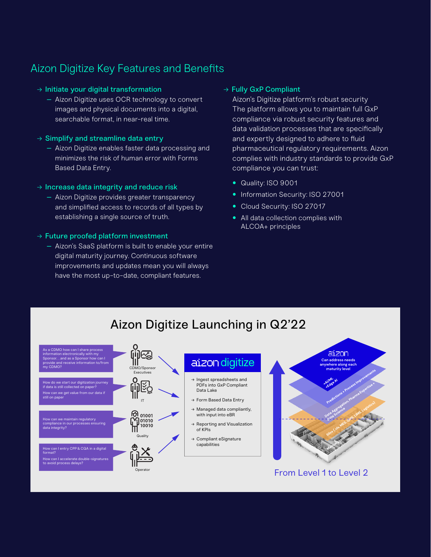## Aizon Digitize Key Features and Benefits

#### → Initiate your digital transformation

- Aizon Digitize uses OCR technology to convert images and physical documents into a digital, searchable format, in near-real time.
- $\rightarrow$  Simplify and streamline data entry
	- Aizon Digitize enables faster data processing and minimizes the risk of human error with Forms Based Data Entry.

#### $\rightarrow$  Increase data integrity and reduce risk

– Aizon Digitize provides greater transparency and simplified access to records of all types by establishing a single source of truth.

#### → Future proofed platform investment

– Aizon's SaaS platform is built to enable your entire digital maturity journey. Continuous software improvements and updates mean you will always have the most up-to-date, compliant features.

#### → Fully GxP Compliant

Aizon's Digitize platform's robust security The platform allows you to maintain full GxP compliance via robust security features and data validation processes that are specifically and expertly designed to adhere to fluid pharmaceutical regulatory requirements. Aizon complies with industry standards to provide GxP compliance you can trust:

- Quality: ISO 9001
- Information Security: ISO 27001
- Cloud Security: ISO 27017
- All data collection complies with ALCOA+ principles

## Aizon Digitize Launching in Q2'22

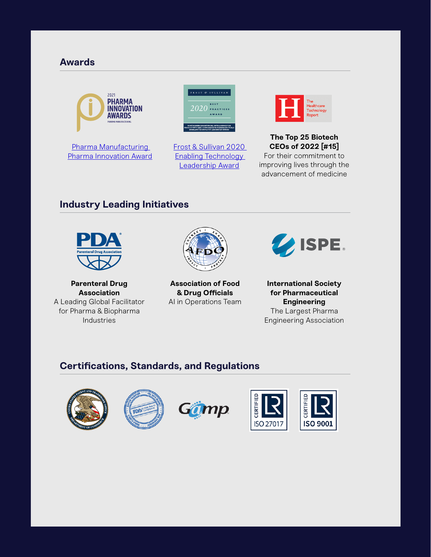#### **Awards**



Pharma Manufacturing Pharma Innovation Award



Frost & Sullivan 2020 Enabling Technology Leadership Award



**The Top 25 Biotech CEOs of 2022 [#15]** For their commitment to improving lives through the advancement of medicine

#### **Industry Leading Initiatives**



**Parenteral Drug Association** A Leading Global Facilitator for Pharma & Biopharma Industries



**Association of Food & Drug Officials** AI in Operations Team



**International Society for Pharmaceutical Engineering** The Largest Pharma Engineering Association

#### **Certifications, Standards, and Regulations**